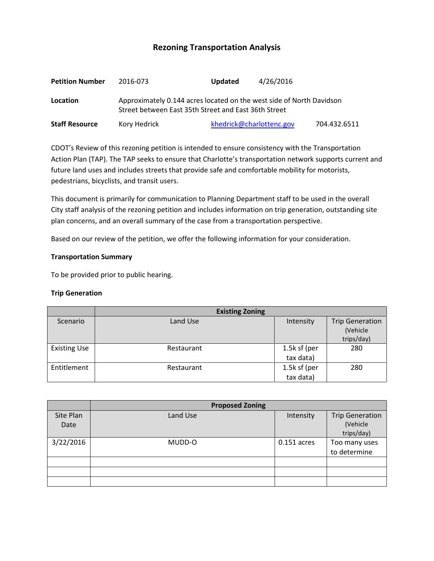# **Rezoning Transportation Analysis**

| <b>Petition Number</b> | 2016-073                                                                                                                     | <b>Updated</b> | 4/26/2016                |              |  |  |
|------------------------|------------------------------------------------------------------------------------------------------------------------------|----------------|--------------------------|--------------|--|--|
| Location               | Approximately 0.144 acres located on the west side of North Davidson<br>Street between East 35th Street and East 36th Street |                |                          |              |  |  |
| <b>Staff Resource</b>  | Kory Hedrick                                                                                                                 |                | khedrick@charlottenc.gov | 704.432.6511 |  |  |

CDOT's Review of this rezoning petition is intended to ensure consistency with the Transportation Action Plan (TAP). The TAP seeks to ensure that Charlotte's transportation network supports current and future land uses and includes streets that provide safe and comfortable mobility for motorists, pedestrians, bicyclists, and transit users.

This document is primarily for communication to Planning Department staff to be used in the overall City staff analysis of the rezoning petition and includes information on trip generation, outstanding site plan concerns, and an overall summary of the case from a transportation perspective.

Based on our review of the petition, we offer the following information for your consideration.

#### **Transportation Summary**

To be provided prior to public hearing.

#### **Trip Generation**

|                     | <b>Existing Zoning</b> |                 |                                    |  |
|---------------------|------------------------|-----------------|------------------------------------|--|
| Scenario            | Land Use               | Intensity       | <b>Trip Generation</b><br>(Vehicle |  |
|                     |                        |                 | trips/day)                         |  |
| <b>Existing Use</b> | Restaurant             | 1.5 $k$ sf (per | 280                                |  |
|                     |                        | tax data)       |                                    |  |
| Entitlement         | Restaurant             | 1.5k sf (per    | 280                                |  |
|                     |                        | tax data)       |                                    |  |

|                   | <b>Proposed Zoning</b> |               |                                    |  |
|-------------------|------------------------|---------------|------------------------------------|--|
| Site Plan<br>Date | Land Use               | Intensity     | <b>Trip Generation</b><br>(Vehicle |  |
|                   |                        |               | trips/day)                         |  |
| 3/22/2016         | MUDD-O                 | $0.151$ acres | Too many uses                      |  |
|                   |                        |               | to determine                       |  |
|                   |                        |               |                                    |  |
|                   |                        |               |                                    |  |
|                   |                        |               |                                    |  |